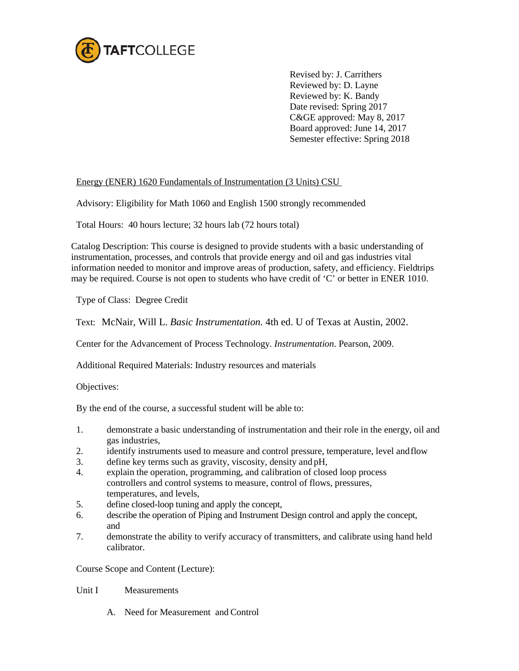

Revised by: J. Carrithers Reviewed by: D. Layne Reviewed by: K. Bandy Date revised: Spring 2017 C&GE approved: May 8, 2017 Board approved: June 14, 2017 Semester effective: Spring 2018

## Energy (ENER) 1620 Fundamentals of Instrumentation (3 Units) CSU

Advisory: Eligibility for Math 1060 and English 1500 strongly recommended

Total Hours: 40 hours lecture; 32 hours lab (72 hours total)

Catalog Description: This course is designed to provide students with a basic understanding of instrumentation, processes, and controls that provide energy and oil and gas industries vital information needed to monitor and improve areas of production, safety, and efficiency. Fieldtrips may be required. Course is not open to students who have credit of 'C' or better in ENER 1010.

Type of Class: Degree Credit

Text: McNair, Will L. *Basic Instrumentation.* 4th ed. U of Texas at Austin, 2002.

Center for the Advancement of Process Technology. *Instrumentation*. Pearson, 2009.

Additional Required Materials: Industry resources and materials

Objectives:

By the end of the course, a successful student will be able to:

- 1. demonstrate a basic understanding of instrumentation and their role in the energy, oil and gas industries,
- 2. identify instruments used to measure and control pressure, temperature, level and flow<br>define key terms such as gravity viscosity density and pH
- define key terms such as gravity, viscosity, density and pH,
- 4. explain the operation, programming, and calibration of closed loop process controllers and control systems to measure, control of flows, pressures, temperatures, and levels,
- 5. define closed-loop tuning and apply the concept,
- 6. describe the operation of Piping and Instrument Design control and apply the concept, and
- 7. demonstrate the ability to verify accuracy of transmitters, and calibrate using hand held calibrator.

Course Scope and Content (Lecture):

## Unit I Measurements

A. Need for Measurement and Control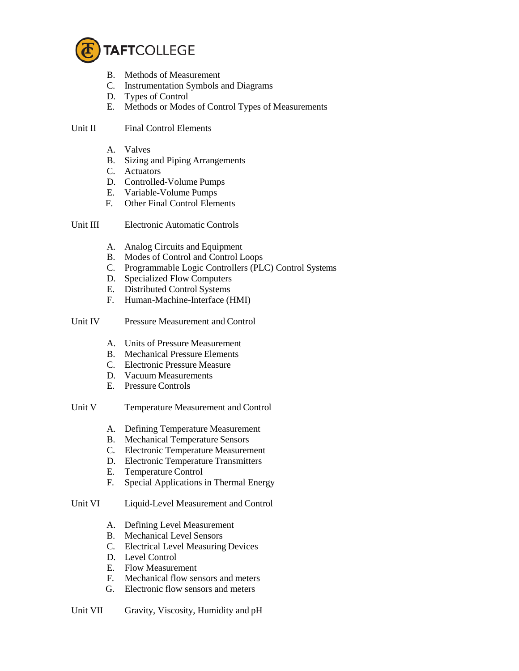

- B. Methods of Measurement
- C. Instrumentation Symbols and Diagrams
- D. Types of Control
- E. Methods or Modes of Control Types of Measurements

Unit II Final Control Elements

- A. Valves
- B. Sizing and Piping Arrangements
- C. Actuators
- D. Controlled-Volume Pumps
- E. Variable-Volume Pumps
- F. Other Final Control Elements

Unit III Electronic Automatic Controls

- A. Analog Circuits and Equipment
- B. Modes of Control and Control Loops
- C. Programmable Logic Controllers (PLC) Control Systems
- D. Specialized Flow Computers
- E. Distributed Control Systems
- F. Human-Machine-Interface (HMI)
- Unit IV Pressure Measurement and Control
	- A. Units of Pressure Measurement
	- B. Mechanical Pressure Elements
	- C. Electronic Pressure Measure
	- D. Vacuum Measurements
	- E. Pressure Controls
- Unit V Temperature Measurement and Control
	- A. Defining Temperature Measurement
	- B. Mechanical Temperature Sensors
	- C. Electronic Temperature Measurement
	- D. Electronic Temperature Transmitters
	- E. Temperature Control<br>F. Special Applications
	- Special Applications in Thermal Energy
- Unit VI Liquid-Level Measurement and Control
	- A. Defining Level Measurement
	- B. Mechanical Level Sensors
	- C. Electrical Level Measuring Devices
	- D. Level Control
	- E. Flow Measurement
	- F. Mechanical flow sensors and meters
	- G. Electronic flow sensors and meters

Unit VII Gravity, Viscosity, Humidity and pH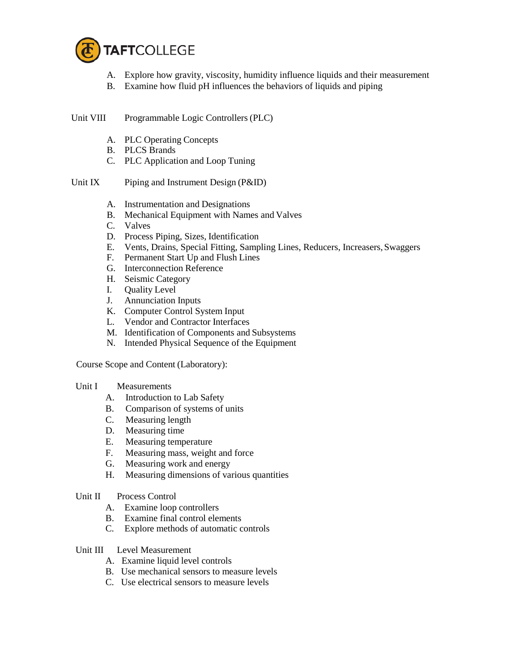

- A. Explore how gravity, viscosity, humidity influence liquids and their measurement
- B. Examine how fluid pH influences the behaviors of liquids and piping

Unit VIII Programmable Logic Controllers (PLC)

- A. PLC Operating Concepts
- B. PLCS Brands
- C. PLC Application and Loop Tuning
- Unit IX Piping and Instrument Design (P&ID)
	- A. Instrumentation and Designations
	- B. Mechanical Equipment with Names and Valves
	- C. Valves
	- D. Process Piping, Sizes, Identification
	- E. Vents, Drains, Special Fitting, Sampling Lines, Reducers, Increasers,Swaggers
	- F. Permanent Start Up and Flush Lines
	- G. Interconnection Reference
	- H. Seismic Category
	- I. Quality Level
	- J. Annunciation Inputs
	- K. Computer Control System Input
	- L. Vendor and Contractor Interfaces
	- M. Identification of Components and Subsystems
	- N. Intended Physical Sequence of the Equipment

Course Scope and Content (Laboratory):

## Unit I Measurements

- A. Introduction to Lab Safety
- B. Comparison of systems of units
- C. Measuring length
- D. Measuring time
- E. Measuring temperature
- F. Measuring mass, weight and force
- G. Measuring work and energy
- H. Measuring dimensions of various quantities

## Unit II Process Control

- A. Examine loop controllers
- B. Examine final control elements
- C. Explore methods of automatic controls
- Unit III Level Measurement
	- A. Examine liquid level controls
	- B. Use mechanical sensors to measure levels
	- C. Use electrical sensors to measure levels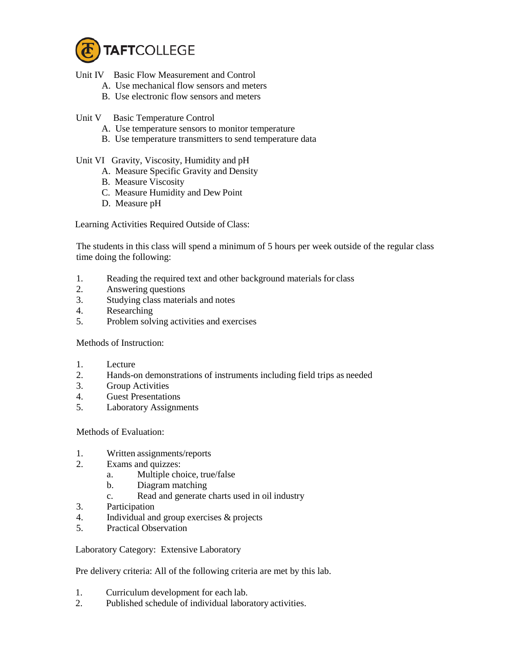

- Unit IV Basic Flow Measurement and Control
	- A. Use mechanical flow sensors and meters
	- B. Use electronic flow sensors and meters
- Unit V Basic Temperature Control
	- A. Use temperature sensors to monitor temperature
	- B. Use temperature transmitters to send temperature data
- Unit VI Gravity, Viscosity, Humidity and pH
	- A. Measure Specific Gravity and Density
	- B. Measure Viscosity
	- C. Measure Humidity and Dew Point
	- D. Measure pH

Learning Activities Required Outside of Class:

The students in this class will spend a minimum of 5 hours per week outside of the regular class time doing the following:

- 1. Reading the required text and other background materials for class
- 2. Answering questions
- 3. Studying class materials and notes
- 4. Researching<br>5. Problem solv
- 5. Problem solving activities and exercises

Methods of Instruction:

- 1. Lecture
- 2. Hands-on demonstrations of instruments including field trips as needed
- 3. Group Activities
- 4. Guest Presentations
- 5. Laboratory Assignments

Methods of Evaluation:

- 1. Written assignments/reports
- 2. Exams and quizzes:
	- a. Multiple choice, true/false
	- b. Diagram matching
	- c. Read and generate charts used in oil industry
- 3. Participation
- 4. Individual and group exercises & projects
- 5. Practical Observation

Laboratory Category: Extensive Laboratory

Pre delivery criteria: All of the following criteria are met by this lab.

- 1. Curriculum development for each lab.
- 2. Published schedule of individual laboratory activities.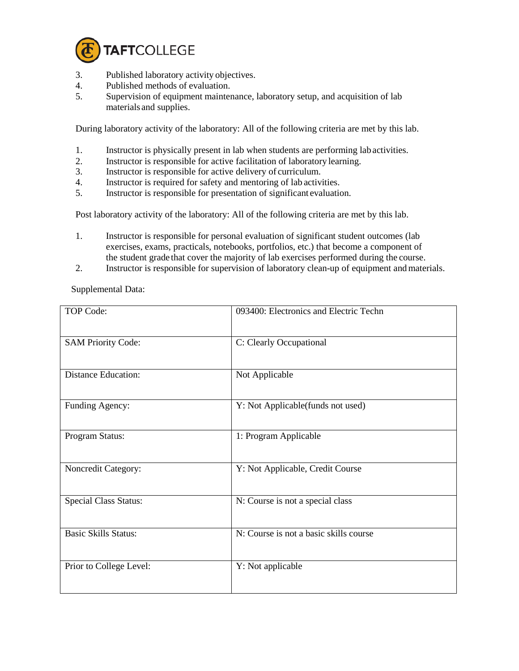

- 3. Published laboratory activity objectives.
- 4. Published methods of evaluation.
- 5. Supervision of equipment maintenance, laboratory setup, and acquisition of lab materials and supplies.

During laboratory activity of the laboratory: All of the following criteria are met by this lab.

- 1. Instructor is physically present in lab when students are performing lab activities.
- 2. Instructor is responsible for active facilitation of laboratory learning.
- 3. Instructor is responsible for active delivery of curriculum.
- 4. Instructor is required for safety and mentoring of lab activities.
- 5. Instructor is responsible for presentation of significant evaluation.

Post laboratory activity of the laboratory: All of the following criteria are met by this lab.

- 1. Instructor is responsible for personal evaluation of significant student outcomes (lab exercises, exams, practicals, notebooks, portfolios, etc.) that become a component of the student grade that cover the majority of lab exercises performed during the course.
- 2. Instructor is responsible for supervision of laboratory clean-up of equipment andmaterials.

Supplemental Data:

| TOP Code:                    | 093400: Electronics and Electric Techn |
|------------------------------|----------------------------------------|
| <b>SAM Priority Code:</b>    | C: Clearly Occupational                |
| <b>Distance Education:</b>   | Not Applicable                         |
| Funding Agency:              | Y: Not Applicable(funds not used)      |
| Program Status:              | 1: Program Applicable                  |
| Noncredit Category:          | Y: Not Applicable, Credit Course       |
| <b>Special Class Status:</b> | N: Course is not a special class       |
| <b>Basic Skills Status:</b>  | N: Course is not a basic skills course |
| Prior to College Level:      | Y: Not applicable                      |